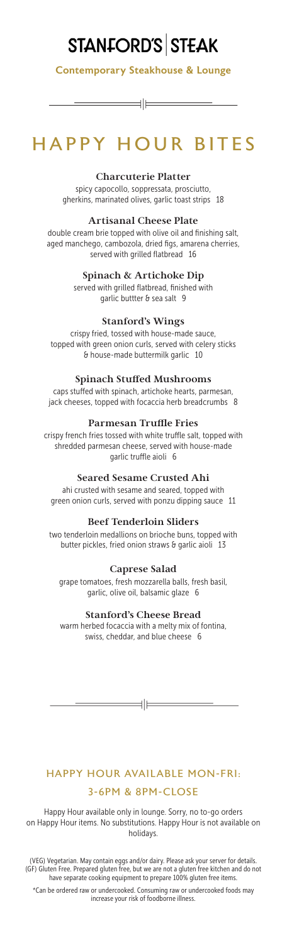# **STANFORD'S STEAK**

Contemporary Steakhouse & Lounge

∃∣⊨

# HAPPY HOUR BITES

### **Charcuterie Platter**

spicy capocollo, soppressata, prosciutto, gherkins, marinated olives, garlic toast strips 18

### **Artisanal Cheese Plate**

double cream brie topped with olive oil and finishing salt, aged manchego, cambozola, dried figs, amarena cherries, served with grilled flatbread 16

## **Spinach & Artichoke Dip**

served with grilled flatbread, finished with garlic buttter & sea salt 9

## **Stanford's Wings**

crispy fried, tossed with house-made sauce, topped with green onion curls, served with celery sticks & house-made buttermilk garlic 10

### **Spinach Stuffed Mushrooms**

caps stuffed with spinach, artichoke hearts, parmesan, jack cheeses, topped with focaccia herb breadcrumbs 8

### **Parmesan Truffle Fries**

crispy french fries tossed with white truffle salt, topped with shredded parmesan cheese, served with house-made garlic truffle aioli 6

## **Seared Sesame Crusted Ahi**

ahi crusted with sesame and seared, topped with green onion curls, served with ponzu dipping sauce 11

## **Beef Tenderloin Sliders**

two tenderloin medallions on brioche buns, topped with butter pickles, fried onion straws & garlic aioli 13

## **Caprese Salad**

grape tomatoes, fresh mozzarella balls, fresh basil, garlic, olive oil, balsamic glaze 6

#### **Stanford's Cheese Bread**

warm herbed focaccia with a melty mix of fontina, swiss, cheddar, and blue cheese 6

 $\equiv$ 

# HAPPY HOUR AVAILABLE MON-FRI: 3-6PM & 8PM-CLOSE

Happy Hour available only in lounge. Sorry, no to-go orders on Happy Hour items. No substitutions. Happy Hour is not available on holidays.

(VEG) Vegetarian. May contain eggs and/or dairy. Please ask your server for details. (GF) Gluten Free. Prepared gluten free, but we are not a gluten free kitchen and do not have separate cooking equipment to prepare 100% gluten free items.

\*Can be ordered raw or undercooked. Consuming raw or undercooked foods may increase your risk of foodborne illness.